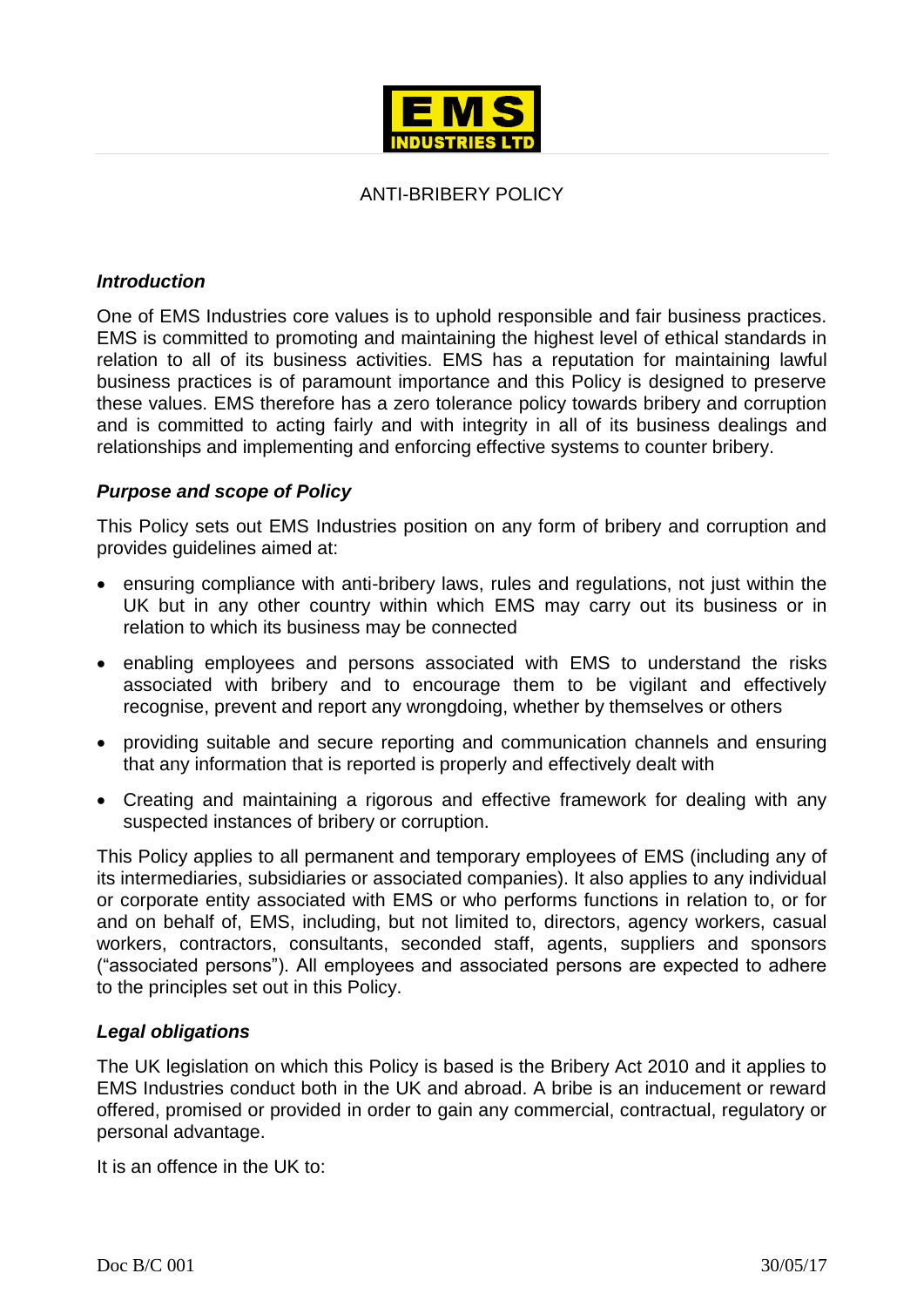

# ANTI-BRIBERY POLICY

## *Introduction*

One of EMS Industries core values is to uphold responsible and fair business practices. EMS is committed to promoting and maintaining the highest level of ethical standards in relation to all of its business activities. EMS has a reputation for maintaining lawful business practices is of paramount importance and this Policy is designed to preserve these values. EMS therefore has a zero tolerance policy towards bribery and corruption and is committed to acting fairly and with integrity in all of its business dealings and relationships and implementing and enforcing effective systems to counter bribery.

# *Purpose and scope of Policy*

This Policy sets out EMS Industries position on any form of bribery and corruption and provides guidelines aimed at:

- ensuring compliance with anti-bribery laws, rules and regulations, not just within the UK but in any other country within which EMS may carry out its business or in relation to which its business may be connected
- enabling employees and persons associated with EMS to understand the risks associated with bribery and to encourage them to be vigilant and effectively recognise, prevent and report any wrongdoing, whether by themselves or others
- providing suitable and secure reporting and communication channels and ensuring that any information that is reported is properly and effectively dealt with
- Creating and maintaining a rigorous and effective framework for dealing with any suspected instances of bribery or corruption.

This Policy applies to all permanent and temporary employees of EMS (including any of its intermediaries, subsidiaries or associated companies). It also applies to any individual or corporate entity associated with EMS or who performs functions in relation to, or for and on behalf of, EMS, including, but not limited to, directors, agency workers, casual workers, contractors, consultants, seconded staff, agents, suppliers and sponsors ("associated persons"). All employees and associated persons are expected to adhere to the principles set out in this Policy.

## *Legal obligations*

The UK legislation on which this Policy is based is the Bribery Act 2010 and it applies to EMS Industries conduct both in the UK and abroad. A bribe is an inducement or reward offered, promised or provided in order to gain any commercial, contractual, regulatory or personal advantage.

It is an offence in the UK to: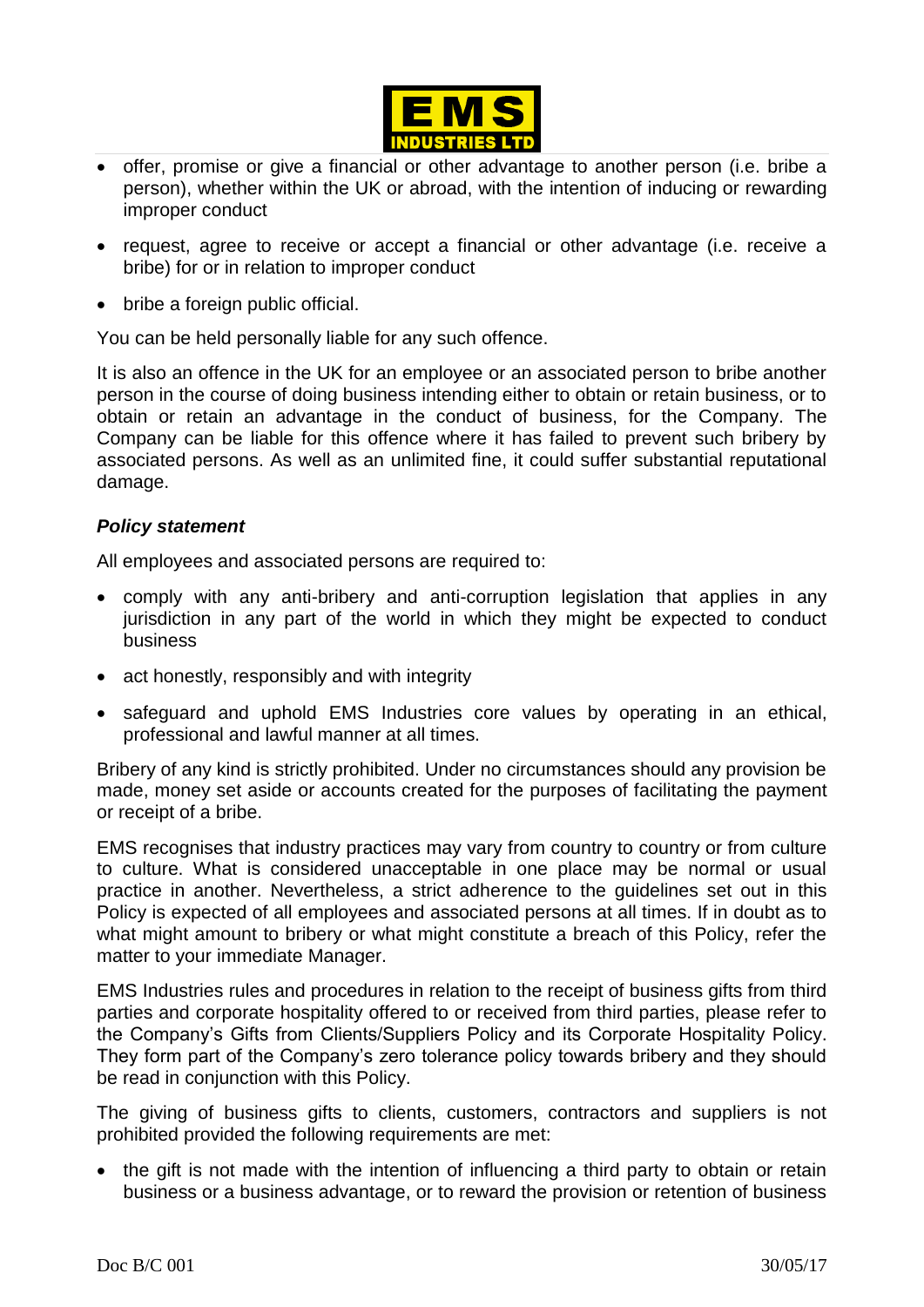

- offer, promise or give a financial or other advantage to another person (i.e. bribe a person), whether within the UK or abroad, with the intention of inducing or rewarding improper conduct
- request, agree to receive or accept a financial or other advantage (i.e. receive a bribe) for or in relation to improper conduct
- bribe a foreign public official.

You can be held personally liable for any such offence.

It is also an offence in the UK for an employee or an associated person to bribe another person in the course of doing business intending either to obtain or retain business, or to obtain or retain an advantage in the conduct of business, for the Company. The Company can be liable for this offence where it has failed to prevent such bribery by associated persons. As well as an unlimited fine, it could suffer substantial reputational damage.

#### *Policy statement*

All employees and associated persons are required to:

- comply with any anti-bribery and anti-corruption legislation that applies in any jurisdiction in any part of the world in which they might be expected to conduct business
- act honestly, responsibly and with integrity
- safeguard and uphold EMS Industries core values by operating in an ethical, professional and lawful manner at all times.

Bribery of any kind is strictly prohibited. Under no circumstances should any provision be made, money set aside or accounts created for the purposes of facilitating the payment or receipt of a bribe.

EMS recognises that industry practices may vary from country to country or from culture to culture. What is considered unacceptable in one place may be normal or usual practice in another. Nevertheless, a strict adherence to the guidelines set out in this Policy is expected of all employees and associated persons at all times. If in doubt as to what might amount to bribery or what might constitute a breach of this Policy, refer the matter to your immediate Manager.

EMS Industries rules and procedures in relation to the receipt of business gifts from third parties and corporate hospitality offered to or received from third parties, please refer to the Company's Gifts from Clients/Suppliers Policy and its Corporate Hospitality Policy. They form part of the Company's zero tolerance policy towards bribery and they should be read in conjunction with this Policy.

The giving of business gifts to clients, customers, contractors and suppliers is not prohibited provided the following requirements are met:

• the gift is not made with the intention of influencing a third party to obtain or retain business or a business advantage, or to reward the provision or retention of business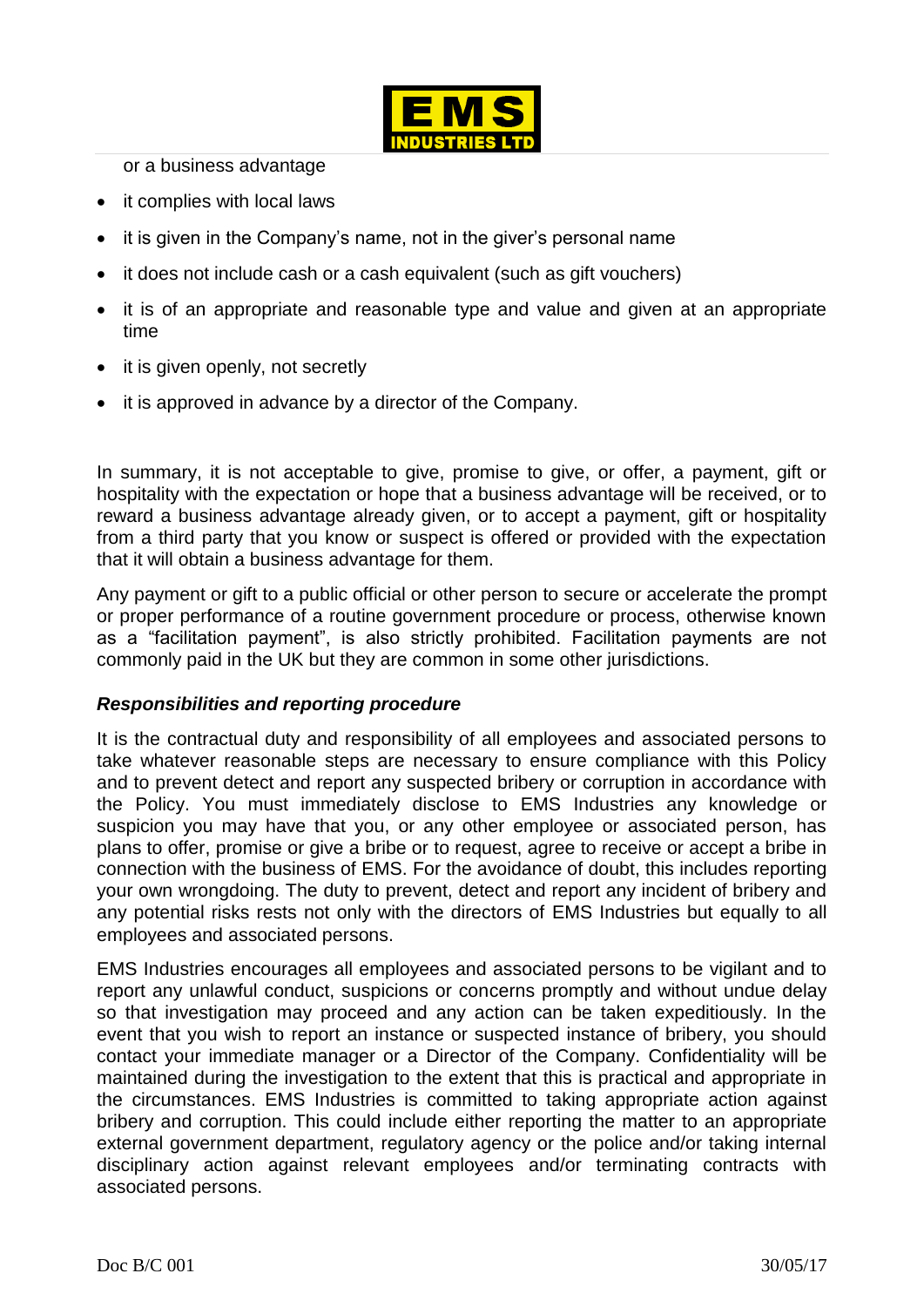

or a business advantage

- it complies with local laws
- it is given in the Company's name, not in the giver's personal name
- it does not include cash or a cash equivalent (such as gift vouchers)
- it is of an appropriate and reasonable type and value and given at an appropriate time
- it is given openly, not secretly
- it is approved in advance by a director of the Company.

In summary, it is not acceptable to give, promise to give, or offer, a payment, gift or hospitality with the expectation or hope that a business advantage will be received, or to reward a business advantage already given, or to accept a payment, gift or hospitality from a third party that you know or suspect is offered or provided with the expectation that it will obtain a business advantage for them.

Any payment or gift to a public official or other person to secure or accelerate the prompt or proper performance of a routine government procedure or process, otherwise known as a "facilitation payment", is also strictly prohibited. Facilitation payments are not commonly paid in the UK but they are common in some other jurisdictions.

## *Responsibilities and reporting procedure*

It is the contractual duty and responsibility of all employees and associated persons to take whatever reasonable steps are necessary to ensure compliance with this Policy and to prevent detect and report any suspected bribery or corruption in accordance with the Policy. You must immediately disclose to EMS Industries any knowledge or suspicion you may have that you, or any other employee or associated person, has plans to offer, promise or give a bribe or to request, agree to receive or accept a bribe in connection with the business of EMS. For the avoidance of doubt, this includes reporting your own wrongdoing. The duty to prevent, detect and report any incident of bribery and any potential risks rests not only with the directors of EMS Industries but equally to all employees and associated persons.

EMS Industries encourages all employees and associated persons to be vigilant and to report any unlawful conduct, suspicions or concerns promptly and without undue delay so that investigation may proceed and any action can be taken expeditiously. In the event that you wish to report an instance or suspected instance of bribery, you should contact your immediate manager or a Director of the Company. Confidentiality will be maintained during the investigation to the extent that this is practical and appropriate in the circumstances. EMS Industries is committed to taking appropriate action against bribery and corruption. This could include either reporting the matter to an appropriate external government department, regulatory agency or the police and/or taking internal disciplinary action against relevant employees and/or terminating contracts with associated persons.